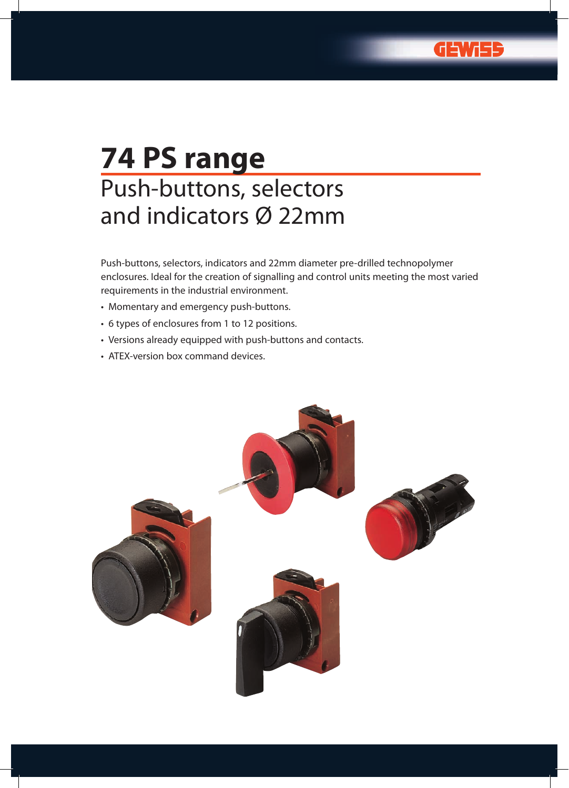G

# **74 PS range** Push-buttons, selectors and indicators Ø 22mm

Push-buttons, selectors, indicators and 22mm diameter pre-drilled technopolymer enclosures. Ideal for the creation of signalling and control units meeting the most varied requirements in the industrial environment.

- • Momentary and emergency push-buttons.
- • 6 types of enclosures from 1 to 12 positions.
- • Versions already equipped with push-buttons and contacts.
- ATEX-version box command devices.

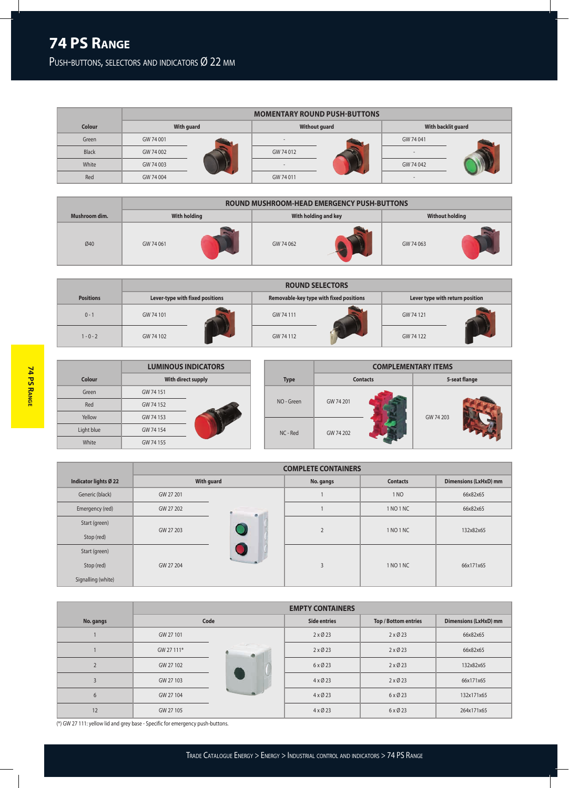PUSH-BUTTONS, SELECTORS AND INDICATORS Ø 22 MM

|              |            | <b>MOMENTARY ROUND PUSH-BUTTONS</b> |                          |  |                    |  |  |  |  |
|--------------|------------|-------------------------------------|--------------------------|--|--------------------|--|--|--|--|
| Colour       | With guard |                                     | <b>Without guard</b>     |  | With backlit guard |  |  |  |  |
| Green        | GW 74 001  |                                     | $\overline{\phantom{a}}$ |  | GW 74 041          |  |  |  |  |
| <b>Black</b> | GW 74 002  |                                     | GW 74 012                |  |                    |  |  |  |  |
| White        | GW 74 003  |                                     | $\sim$                   |  | GW 74 042          |  |  |  |  |
| Red          | GW 74 004  |                                     | GW 74 011                |  |                    |  |  |  |  |

| Mushroom dim. | <b>With holding</b> |  |           | With holding and key | <b>Without holding</b> |  |
|---------------|---------------------|--|-----------|----------------------|------------------------|--|
| Ø40           | GW 74 061           |  | GW 74 062 |                      | GW 74 063              |  |

|                  | <b>ROUND SELECTORS</b>          |  |                                         |  |                                 |  |  |
|------------------|---------------------------------|--|-----------------------------------------|--|---------------------------------|--|--|
| <b>Positions</b> | Lever-type with fixed positions |  | Removable-key type with fixed positions |  | Lever type with return position |  |  |
| $0 - 1$          | GW 74 101                       |  | GW 74 111                               |  | GW 74 121                       |  |  |
| $1 - 0 - 2$      | GW 74 102                       |  | GW 74 112                               |  | GW 74 122                       |  |  |

|            | <b>LUMINOUS INDICATORS</b> |  |             | <b>COMPLEMENTARY ITEMS</b> |  |               |  |
|------------|----------------------------|--|-------------|----------------------------|--|---------------|--|
| Colour     | With direct supply         |  | <b>Type</b> | <b>Contacts</b>            |  | 5-seat flange |  |
| Green      | GW 74 151                  |  |             |                            |  |               |  |
| Red        | GW 74 152                  |  | NO - Green  | GW 74 201                  |  | GW 74 203     |  |
| Yellow     | GW 74 153                  |  |             |                            |  |               |  |
| Light blue | GW 74 154                  |  | NC - Red    | GW 74 202                  |  |               |  |
| White      | GW 74 155                  |  |             |                            |  |               |  |

|                       |           |            | <b>COMPLETE CONTAINERS</b> |                 |                              |  |  |
|-----------------------|-----------|------------|----------------------------|-----------------|------------------------------|--|--|
| Indicator lights Ø 22 |           | With guard | No. gangs                  | <b>Contacts</b> | <b>Dimensions (LxHxD) mm</b> |  |  |
| Generic (black)       | GW 27 201 |            |                            | 1 NO            | 66x82x65                     |  |  |
| Emergency (red)       | GW 27 202 |            |                            | 1 NO 1 NC       | 66x82x65                     |  |  |
| Start (green)         | GW 27 203 |            | $\overline{2}$             | 1 NO 1 NC       | 132x82x65                    |  |  |
| Stop (red)            |           |            |                            |                 |                              |  |  |
| Start (green)         |           |            |                            |                 |                              |  |  |
| Stop (red)            | GW 27 204 |            | 3                          | 1 NO 1 NC       | 66x171x65                    |  |  |
| Signalling (white)    |           |            |                            |                 |                              |  |  |

|                   |            |                                        | <b>EMPTY CONTAINERS</b> |                      |                              |  |  |
|-------------------|------------|----------------------------------------|-------------------------|----------------------|------------------------------|--|--|
| No. gangs         |            | Code                                   | <b>Side entries</b>     | Top / Bottom entries | <b>Dimensions (LxHxD) mm</b> |  |  |
|                   | GW 27 101  |                                        | $2 \times 023$          | $2 \times 023$       | 66x82x65                     |  |  |
|                   | GW 27 111* | <b>Contract Contract Contract</b><br>۵ | $2 \times 023$          | $2 \times 023$       | 66x82x65                     |  |  |
| $\mathbf{\Omega}$ | GW 27 102  |                                        | $6 \times 023$          | $2 \times 023$       | 132x82x65                    |  |  |
|                   | GW 27 103  |                                        | $4 \times 023$          | $2 \times 023$       | 66x171x65                    |  |  |
| 6                 | GW 27 104  |                                        | $4 \times 023$          | $6 \times 023$       | 132x171x65                   |  |  |
| 12                | GW 27 105  |                                        | $4 \times 023$          | $6 \times 023$       | 264x171x65                   |  |  |

(\*) GW 27 111: yellow lid and grey base - Specific for emergency push-buttons.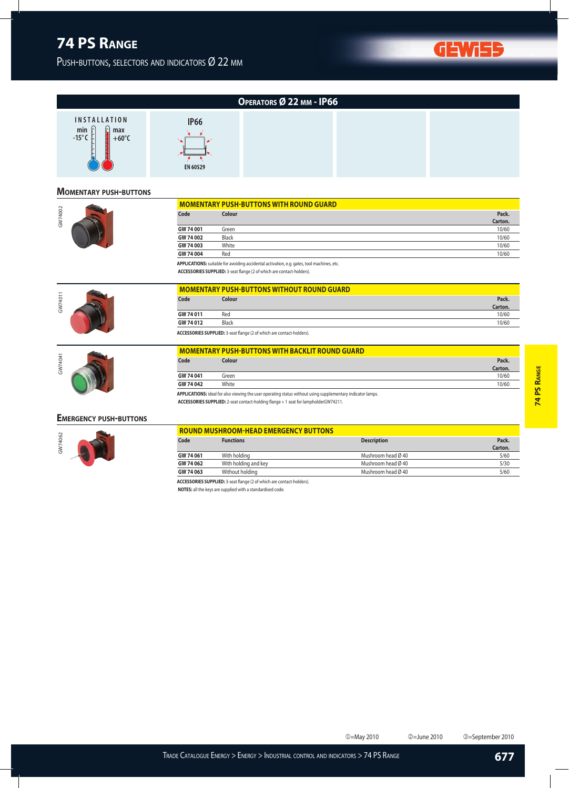PUSH-BUTTONS, SELECTORS AND INDICATORS Ø 22 MM



**GEW** 

**677**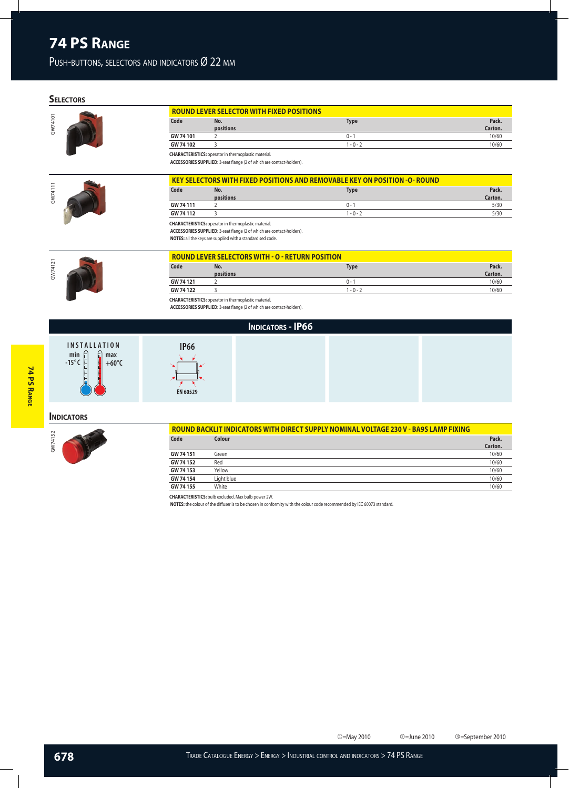### PUSH-BUTTONS, SELECTORS AND INDICATORS Ø 22 MM

## **SELE**

GW74101

| <b>CTORS</b> |           |                                                                                                                                      |                                                                           |                  |
|--------------|-----------|--------------------------------------------------------------------------------------------------------------------------------------|---------------------------------------------------------------------------|------------------|
|              |           | <b>ROUND LEVER SELECTOR WITH FIXED POSITIONS</b>                                                                                     |                                                                           |                  |
|              | Code      | No.<br>positions                                                                                                                     | <b>Type</b>                                                               | Pack.<br>Carton. |
|              | GW 74 101 |                                                                                                                                      | $0 -$ <sup>-</sup>                                                        | 10/60            |
|              | GW 74 102 |                                                                                                                                      | $1 - 0 - 2$                                                               | 10/60            |
|              |           | <b>CHARACTERISTICS:</b> operator in thermoplastic material.<br>ACCESSORIES SUPPLIED: 3-seat flange (2 of which are contact-holders). |                                                                           |                  |
|              |           |                                                                                                                                      | KEY SELECTORS WITH FIXED POSITIONS AND REMOVABLE KEY ON POSITION -O-ROUND |                  |



| <b>KEY SELECTORS WITH FIXED POSITIONS AND REMOVABLE KEY ON POSITION -O- ROUND</b> |           |             |         |  |  |  |
|-----------------------------------------------------------------------------------|-----------|-------------|---------|--|--|--|
| Code                                                                              | No.       | <b>Type</b> | Pack.   |  |  |  |
|                                                                                   | positions |             | Carton. |  |  |  |
| GW 74 111                                                                         |           | $0 - 1$     | 5/30    |  |  |  |
| GW 74 112                                                                         |           | 1 - 0 - 2   | 5/30    |  |  |  |

**ACCESSORIES SUPPLIED:** 3-seat flange (2 of which are contact-holders).

**NOTES:** all the keys are supplied with a standardised code.



| Code      | No.       | <b>Type</b> | Pack.   |
|-----------|-----------|-------------|---------|
|           | positions |             | Carton. |
| GW 74 121 |           | $0 - 1$     | 10/60   |
| GW 74 122 |           | $1 - 0 - 2$ | 10/60   |

**ACCESSORIES SUPPLIED:** 3-seat flange (2 of which are contact-holders).

### **INDICATORS - IP66**

# **74 PS RANGE 74 PS Range**



| <b>IP66</b> |  |
|-------------|--|
| EN 60529    |  |

### **INDICATORS**



| ROUND BACKLIT INDICATORS WITH DIRECT SUPPLY NOMINAL VOLTAGE 230 V - BA9S LAMP FIXING |            |         |  |  |  |
|--------------------------------------------------------------------------------------|------------|---------|--|--|--|
| Code                                                                                 | Colour     | Pack.   |  |  |  |
|                                                                                      |            | Carton. |  |  |  |
| GW 74 151                                                                            | Green      | 10/60   |  |  |  |
| GW 74 152                                                                            | Red        | 10/60   |  |  |  |
| GW 74 153                                                                            | Yellow     | 10/60   |  |  |  |
| GW 74 154                                                                            | Light blue | 10/60   |  |  |  |
| GW 74 155                                                                            | White      | 10/60   |  |  |  |

**CHARACTERISTICS:** bulb excluded. Max bulb power 2W.

**NOTES:** the colour of the diffuser is to be chosen in conformity with the colour code recommended by IEC 60073 standard.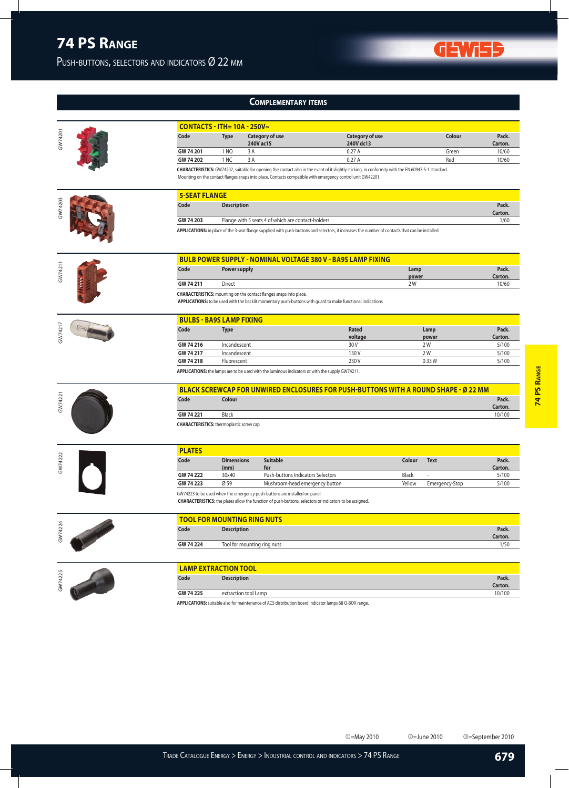PUSH-BUTTONS, SELECTORS AND INDICATORS Ø 22 MM

### **Complementary items**

|         | <b>CONTACTS - ITH= 10A - 250V~</b>               |                     |                                                                                                                                                                                              |                                                                                                                                                     |              |                |                   |
|---------|--------------------------------------------------|---------------------|----------------------------------------------------------------------------------------------------------------------------------------------------------------------------------------------|-----------------------------------------------------------------------------------------------------------------------------------------------------|--------------|----------------|-------------------|
| GW74201 | Code                                             | <b>Type</b>         | <b>Category of use</b><br>240V ac15                                                                                                                                                          | <b>Category of use</b><br>240V dc13                                                                                                                 |              | Colour         | Pack.<br>Carton.  |
|         | GW 74 201                                        | 1 NO                | 3 A                                                                                                                                                                                          | 0,27A                                                                                                                                               |              | Green          | 10/60             |
|         | GW 74 202                                        | 1 NC                | 3A                                                                                                                                                                                           | 0,27A                                                                                                                                               |              | Red            | 10/60             |
|         |                                                  |                     |                                                                                                                                                                                              | CHARACTERISTICS: GW74202, suitable for opening the contact also in the event of it slightly sticking, in conformity with the EN 60947-5-1 standard. |              |                |                   |
|         |                                                  |                     | Mounting on the contact flanges snaps into place. Contacts compatible with emergency control unit GW42201.                                                                                   |                                                                                                                                                     |              |                |                   |
|         | <b>5-SEAT FLANGE</b>                             |                     |                                                                                                                                                                                              |                                                                                                                                                     |              |                |                   |
| GW74203 | Code                                             | <b>Description</b>  |                                                                                                                                                                                              |                                                                                                                                                     |              |                | Pack.             |
|         | GW 74 203                                        |                     | Flange with 5 seats 4 of which are contact-holders                                                                                                                                           |                                                                                                                                                     |              |                | Carton.<br>1/60   |
|         |                                                  |                     |                                                                                                                                                                                              | APPLICATIONS: in place of the 3-seat flange supplied with push-buttons and selectors, it increases the number of contacts that can be installed.    |              |                |                   |
|         |                                                  |                     |                                                                                                                                                                                              |                                                                                                                                                     |              |                |                   |
|         |                                                  |                     |                                                                                                                                                                                              | <b>BULB POWER SUPPLY - NOMINAL VOLTAGE 380 V - BA9S LAMP FIXING</b>                                                                                 |              |                |                   |
| GW74211 | Code                                             | <b>Power supply</b> |                                                                                                                                                                                              |                                                                                                                                                     | Lamp         |                | Pack.             |
|         |                                                  |                     |                                                                                                                                                                                              |                                                                                                                                                     | power        |                | Carton.           |
|         | GW 74 211                                        | Direct              |                                                                                                                                                                                              |                                                                                                                                                     | 2 W          |                | 10/60             |
|         |                                                  |                     | <b>CHARACTERISTICS:</b> mounting on the contact flanges snaps into place.                                                                                                                    | APPLICATIONS: to be used with the backlit momentary push-buttons with guard to make functional indications.                                         |              |                |                   |
|         | <b>BULBS - BA9S LAMP FIXING</b>                  |                     |                                                                                                                                                                                              |                                                                                                                                                     |              |                |                   |
| GW74217 | Code                                             | <b>Type</b>         |                                                                                                                                                                                              | <b>Rated</b>                                                                                                                                        |              | Lamp           | Pack.             |
|         | GW 74 216                                        | Incandescent        |                                                                                                                                                                                              | voltage<br>30 V                                                                                                                                     |              | power<br>2 W   | Carton.<br>5/100  |
|         | GW 74 217                                        | Incandescent        |                                                                                                                                                                                              | 130V                                                                                                                                                |              | 2 W            | 5/100             |
|         | GW 74 218                                        | Fluorescent         |                                                                                                                                                                                              | 230V                                                                                                                                                |              | 0.33W          | 5/100             |
|         |                                                  |                     | APPLICATIONS: the lamps are to be used with the luminous indicators or with the supply GW74211.                                                                                              |                                                                                                                                                     |              |                |                   |
|         |                                                  |                     |                                                                                                                                                                                              | BLACK SCREWCAP FOR UNWIRED ENCLOSURES FOR PUSH-BUTTONS WITH A ROUND SHAPE - Ø 22 MM                                                                 |              |                |                   |
| GW74221 | Code                                             | Colour              |                                                                                                                                                                                              |                                                                                                                                                     |              |                | Pack.<br>Carton.  |
|         | GW 74 221                                        | Black               |                                                                                                                                                                                              |                                                                                                                                                     |              |                | 10/100            |
|         | <b>CHARACTERISTICS:</b> thermoplastic screw cap. |                     |                                                                                                                                                                                              |                                                                                                                                                     |              |                |                   |
|         | <b>PLATES</b>                                    |                     |                                                                                                                                                                                              |                                                                                                                                                     |              |                |                   |
| GW74222 | Code                                             | <b>Dimensions</b>   | <b>Suitable</b>                                                                                                                                                                              |                                                                                                                                                     | Colour       | <b>Text</b>    | Pack.             |
|         |                                                  | (mm)                | for                                                                                                                                                                                          |                                                                                                                                                     |              |                | Carton.           |
|         | GW 74 222                                        | 30x40               | Push-buttons Indicators Selectors                                                                                                                                                            |                                                                                                                                                     | <b>Black</b> |                | 5/100             |
|         | GW 74 223                                        | Ø 59                | Mushroom-head emergency button                                                                                                                                                               |                                                                                                                                                     | Yellow       | Emergency-Stop | 5/100             |
|         |                                                  |                     | GW74223 to be used when the emergency push-buttons are installed on panel.<br><b>CHARACTERISTICS:</b> the plates allow the function of push-buttons, selectors or indicators to be assigned. |                                                                                                                                                     |              |                |                   |
|         |                                                  |                     | <b>TOOL FOR MOUNTING RING NUTS</b>                                                                                                                                                           |                                                                                                                                                     |              |                |                   |
| GW74224 | Code                                             | <b>Description</b>  |                                                                                                                                                                                              |                                                                                                                                                     |              |                | Pack.             |
|         |                                                  |                     |                                                                                                                                                                                              |                                                                                                                                                     |              |                | Carton.           |
|         | GW 74 224                                        |                     | Tool for mounting ring nuts                                                                                                                                                                  |                                                                                                                                                     |              |                | 1/50              |
|         | <b>LAMP EXTRACTION TOOL</b>                      |                     |                                                                                                                                                                                              |                                                                                                                                                     |              |                |                   |
| GW74225 | Code                                             | <b>Description</b>  |                                                                                                                                                                                              |                                                                                                                                                     |              |                | Pack.             |
|         | GW 74 225                                        |                     | extraction tool Lamp                                                                                                                                                                         |                                                                                                                                                     |              |                | Carton.<br>10/100 |
|         |                                                  |                     |                                                                                                                                                                                              |                                                                                                                                                     |              |                |                   |

**APPLICATIONS:** suitable also for maintenance of ACS distribution board indicator lamps 68 Q-BOX range.

**GEWISS** 

j=May 2010 k=June 2010 l=September 2010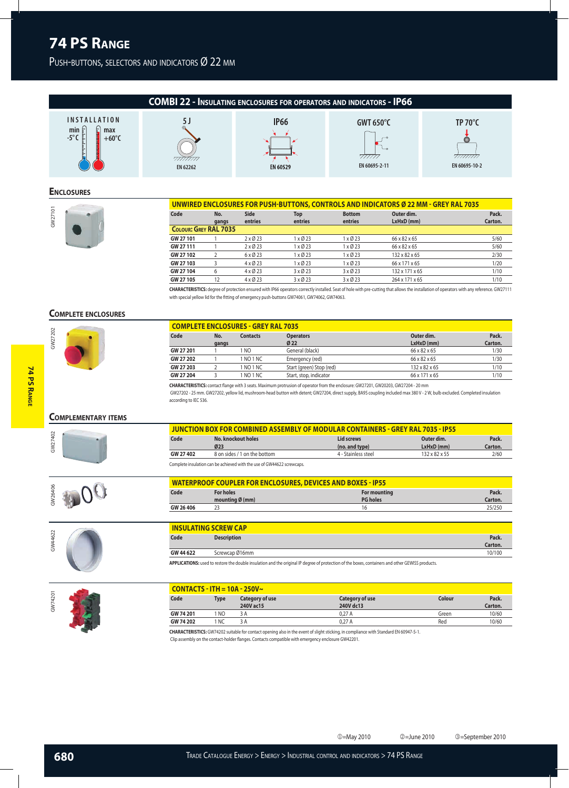PUSH-BUTTONS, SELECTORS AND INDICATORS Ø 22 MM



j=May 2010 k=June 2010 l=September 2010